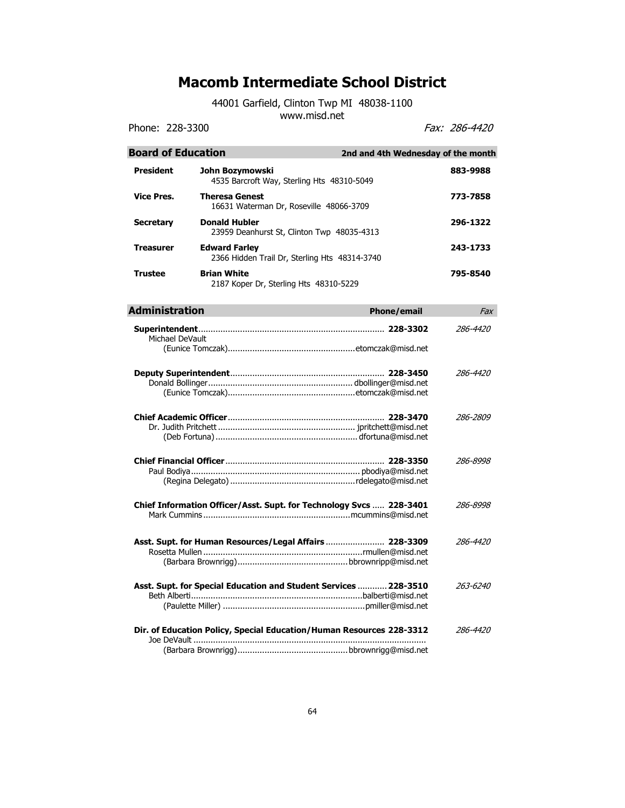44001 Garfield, Clinton Twp MI 48038-1100

www.misd.net

Phone: 228-3300 Fax: 286-4420

| <b>Board of Education</b> | 2nd and 4th Wednesday of the month                                    |                 |
|---------------------------|-----------------------------------------------------------------------|-----------------|
| <b>President</b>          | John Bozymowski<br>4535 Barcroft Way, Sterling Hts 48310-5049         | 883-9988        |
| <b>Vice Pres.</b>         | <b>Theresa Genest</b><br>16631 Waterman Dr, Roseville 48066-3709      | 773-7858        |
| <b>Secretary</b>          | <b>Donald Hubler</b><br>23959 Deanhurst St, Clinton Twp 48035-4313    | 296-1322        |
| <b>Treasurer</b>          | <b>Edward Farley</b><br>2366 Hidden Trail Dr, Sterling Hts 48314-3740 | 243-1733        |
| <b>Trustee</b>            | <b>Brian White</b><br>2187 Koper Dr, Sterling Hts 48310-5229          | 795-8540        |
| <b>Administration</b>     | <b>Phone/email</b>                                                    | Fax             |
| Michael DeVault           |                                                                       | 286-4420        |
|                           |                                                                       | 286-4420        |
|                           |                                                                       | 286-2809        |
|                           |                                                                       | 286-8998        |
|                           | Chief Information Officer/Asst. Supt. for Technology Svcs  228-3401   | 286-8998        |
|                           | Asst. Supt. for Human Resources/Legal Affairs  228-3309               | 286-4420        |
|                           | Asst. Supt. for Special Education and Student Services  228-3510      | 263-6240        |
|                           | Dir. of Education Policy, Special Education/Human Resources 228-3312  | <i>286-4420</i> |
|                           |                                                                       |                 |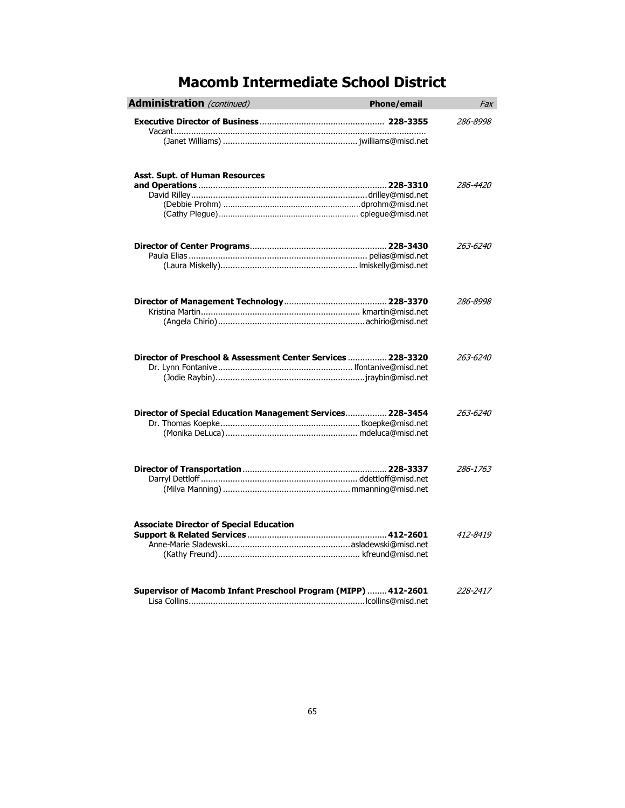| <b>Administration</b> (continued)                              | <b>Phone/email</b> | Fax      |
|----------------------------------------------------------------|--------------------|----------|
|                                                                |                    | 286-8998 |
|                                                                |                    |          |
| Asst. Supt. of Human Resources                                 |                    | 286-4420 |
|                                                                |                    |          |
|                                                                |                    | 263-6240 |
|                                                                |                    | 286-8998 |
| Director of Preschool & Assessment Center Services  228-3320   |                    | 263-6240 |
| Director of Special Education Management Services 228-3454     |                    | 263-6240 |
|                                                                |                    | 286-1763 |
| <b>Associate Director of Special Education</b>                 |                    | 412-8419 |
| Supervisor of Macomb Infant Preschool Program (MIPP)  412-2601 |                    | 228-2417 |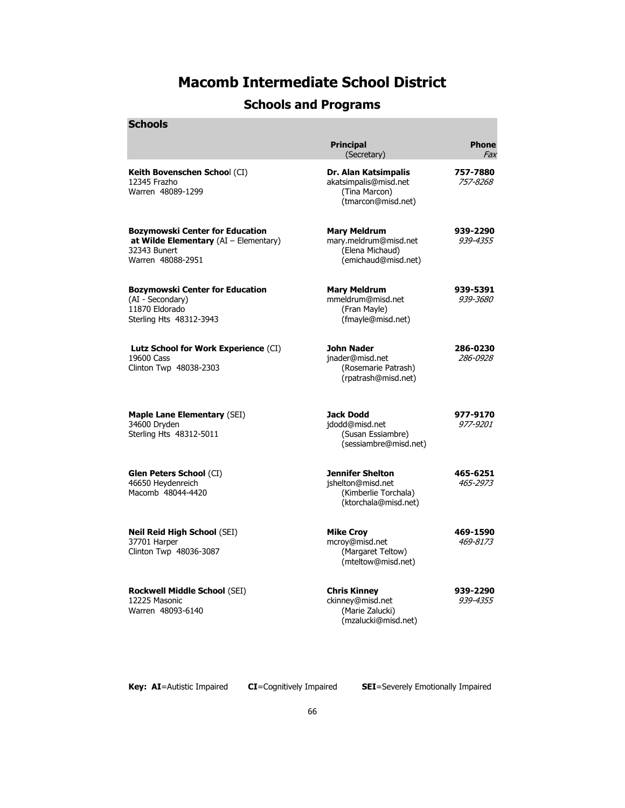### **Schools and Programs**

| SCNOOIS                                                                                                         |                                                                                              |                             |
|-----------------------------------------------------------------------------------------------------------------|----------------------------------------------------------------------------------------------|-----------------------------|
|                                                                                                                 | <b>Principal</b><br>(Secretary)                                                              | <b>Phone</b><br>Fax         |
| Keith Bovenschen School (CI)<br>12345 Frazho<br>Warren 48089-1299                                               | Dr. Alan Katsimpalis<br>akatsimpalis@misd.net<br>(Tina Marcon)<br>(tmarcon@misd.net)         | 757-7880<br>757-8268        |
| Bozymowski Center for Education<br>at Wilde Elementary $(AI - Elementary)$<br>32343 Bunert<br>Warren 48088-2951 | <b>Mary Meldrum</b><br>mary.meldrum@misd.net<br>(Elena Michaud)<br>(emichaud@misd.net)       | 939-2290<br>939-4355        |
| Bozymowski Center for Education<br>(AI - Secondary)<br>11870 Eldorado<br>Sterling Hts 48312-3943                | <b>Mary Meldrum</b><br>mmeldrum@misd.net<br>(Fran Mayle)<br>(fmayle@misd.net)                | 939-5391<br><i>939-3680</i> |
| Lutz School for Work Experience (CI)<br>19600 Cass<br>Clinton Twp 48038-2303                                    | John Nader<br>jnader@misd.net<br>(Rosemarie Patrash)<br>(rpatrash@misd.net)                  | 286-0230<br>286-0928        |
| <b>Maple Lane Elementary (SEI)</b><br>34600 Dryden<br>Sterling Hts 48312-5011                                   | <b>Jack Dodd</b><br>jdodd@misd.net<br>(Susan Essiambre)<br>(sessiambre@misd.net)             | 977-9170<br><i>977-9201</i> |
| Glen Peters School (CI)<br>46650 Heydenreich<br>Macomb 48044-4420                                               | <b>Jennifer Shelton</b><br>jshelton@misd.net<br>(Kimberlie Torchala)<br>(ktorchala@misd.net) | 465-6251<br>465-2973        |
| Neil Reid High School (SEI)<br>37701 Harper<br>Clinton Twp 48036-3087                                           | <b>Mike Croy</b><br>mcroy@misd.net<br>(Margaret Teltow)<br>(mteltow@misd.net)                | 469-1590<br>469-8173        |
| <b>Rockwell Middle School (SEI)</b><br>12225 Masonic<br>Warren 48093-6140                                       | <b>Chris Kinney</b><br>ckinney@misd.net<br>(Marie Zalucki)<br>(mzalucki@misd.net)            | 939-2290<br>939-4355        |
|                                                                                                                 |                                                                                              |                             |

**Schools**

**Key: AI**=Autistic Impaired **CI**=Cognitively Impaired **SEI**=Severely Emotionally Impaired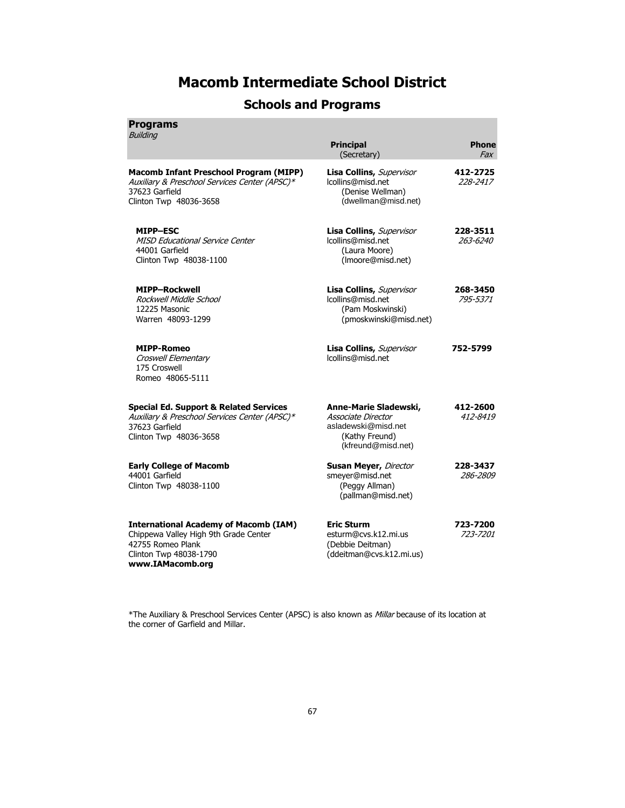### **Schools and Programs**

| ram<br>ı |  |
|----------|--|
|          |  |

| <b>Building</b>                                                                                                                                          | <b>Principal</b><br>(Secretary)                                                                            | <b>Phone</b><br><i>Fax</i> |
|----------------------------------------------------------------------------------------------------------------------------------------------------------|------------------------------------------------------------------------------------------------------------|----------------------------|
| <b>Macomb Infant Preschool Program (MIPP)</b><br>Auxiliary & Preschool Services Center (APSC)*<br>37623 Garfield<br>Clinton Twp 48036-3658               | Lisa Collins, Supervisor<br>Icollins@misd.net<br>(Denise Wellman)<br>(dwellman@misd.net)                   | 412-2725<br>228-2417       |
| <b>MIPP-ESC</b><br><b>MISD Educational Service Center</b><br>44001 Garfield<br>Clinton Twp 48038-1100                                                    | Lisa Collins, Supervisor<br>lcollins@misd.net<br>(Laura Moore)<br>(Imoore@misd.net)                        | 228-3511<br>263-6240       |
| <b>MIPP-Rockwell</b><br>Rockwell Middle School<br>12225 Masonic<br>Warren 48093-1299                                                                     | Lisa Collins, Supervisor<br>lcollins@misd.net<br>(Pam Moskwinski)<br>(pmoskwinski@misd.net)                | 268-3450<br>795-5371       |
| <b>MIPP-Romeo</b><br>Croswell Elementary<br>175 Croswell<br>Romeo 48065-5111                                                                             | Lisa Collins, Supervisor<br>lcollins@misd.net                                                              | 752-5799                   |
| <b>Special Ed. Support &amp; Related Services</b><br>Auxiliary & Preschool Services Center (APSC)*<br>37623 Garfield<br>Clinton Twp 48036-3658           | Anne-Marie Sladewski,<br>Associate Director<br>asladewski@misd.net<br>(Kathy Freund)<br>(kfreund@misd.net) | 412-2600<br>412-8419       |
| <b>Early College of Macomb</b><br>44001 Garfield<br>Clinton Twp 48038-1100                                                                               | <b>Susan Meyer, Director</b><br>smeyer@misd.net<br>(Peggy Allman)<br>(pallman@misd.net)                    | 228-3437<br>286-2809       |
| <b>International Academy of Macomb (IAM)</b><br>Chippewa Valley High 9th Grade Center<br>42755 Romeo Plank<br>Clinton Twp 48038-1790<br>www.IAMacomb.org | <b>Eric Sturm</b><br>esturm@cvs.k12.mi.us<br>(Debbie Deitman)<br>(ddeitman@cvs.k12.mi.us)                  | 723-7200<br>723-7201       |

\*The Auxiliary & Preschool Services Center (APSC) is also known as Millar because of its location at the corner of Garfield and Millar.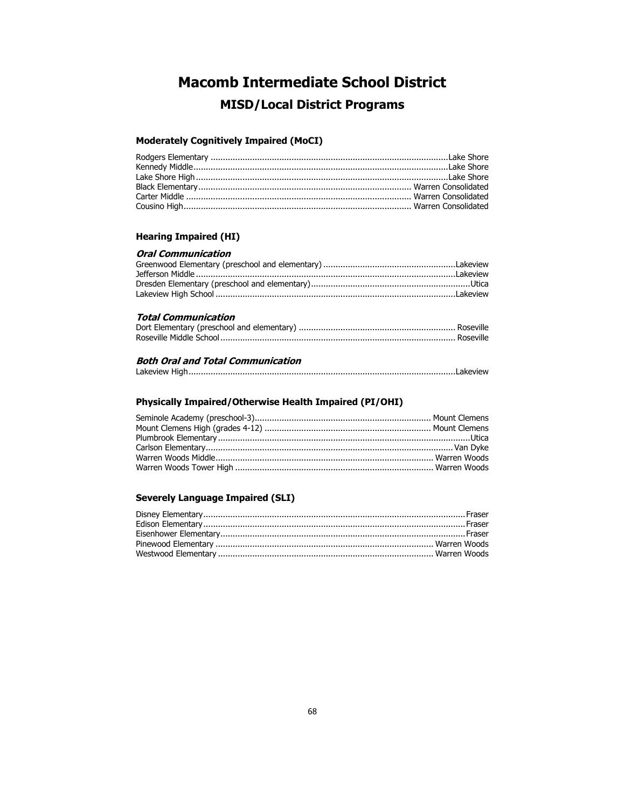### **Macomb Intermediate School District MISD/Local District Programs**

#### **Moderately Cognitively Impaired (MoCI)**

#### **Hearing Impaired (HI)**

#### **Oral Communication**

#### **Total Communication**

#### **Both Oral and Total Communication**

|--|

#### **Physically Impaired/Otherwise Health Impaired (PI/OHI)**

#### **Severely Language Impaired (SLI)**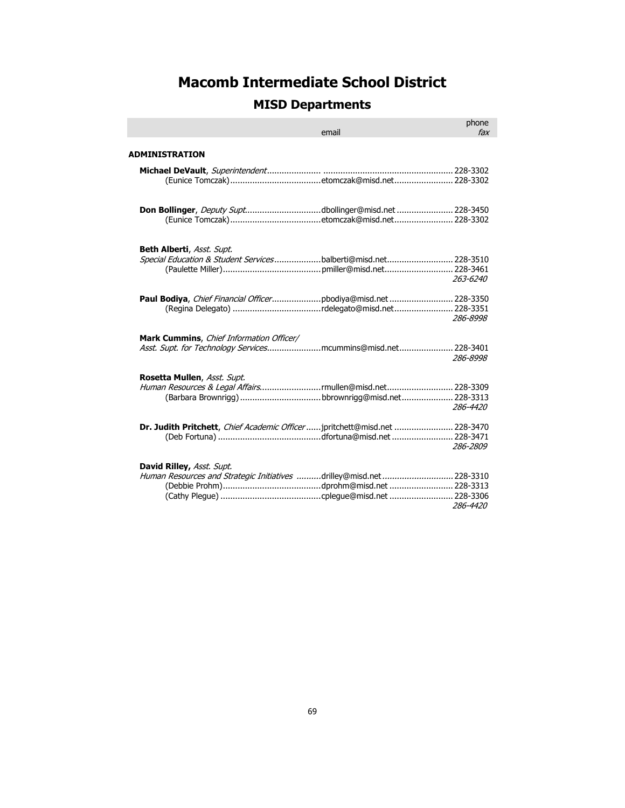### **MISD Departments**

|                                                                                                           | email | phone<br>fax |
|-----------------------------------------------------------------------------------------------------------|-------|--------------|
| ADMINISTRATION                                                                                            |       |              |
|                                                                                                           |       |              |
| Don Bollinger, Deputy Suptdbollinger@misd.net 228-3450                                                    |       |              |
| <b>Beth Alberti, Asst. Supt.</b><br>Special Education & Student Servicesbalberti@misd.net 228-3510        |       | 263-6240     |
| Paul Bodiya, Chief Financial Officerpbodiya@misd.net 228-3350                                             |       | 286-8998     |
| Mark Cummins, Chief Information Officer/<br>Asst. Supt. for Technology Servicesmcummins@misd.net 228-3401 |       | 286-8998     |
| Rosetta Mullen, Asst. Supt.<br>Human Resources & Legal Affairsmullen@misd.net 228-3309                    |       | 286-4420     |
| Dr. Judith Pritchett, Chief Academic Officer  jpritchett@misd.net  228-3470                               |       | 286-2809     |
| David Rilley, Asst. Supt.<br>Human Resources and Strategic Initiatives drilley@misd.net 228-3310          |       | 286-4420     |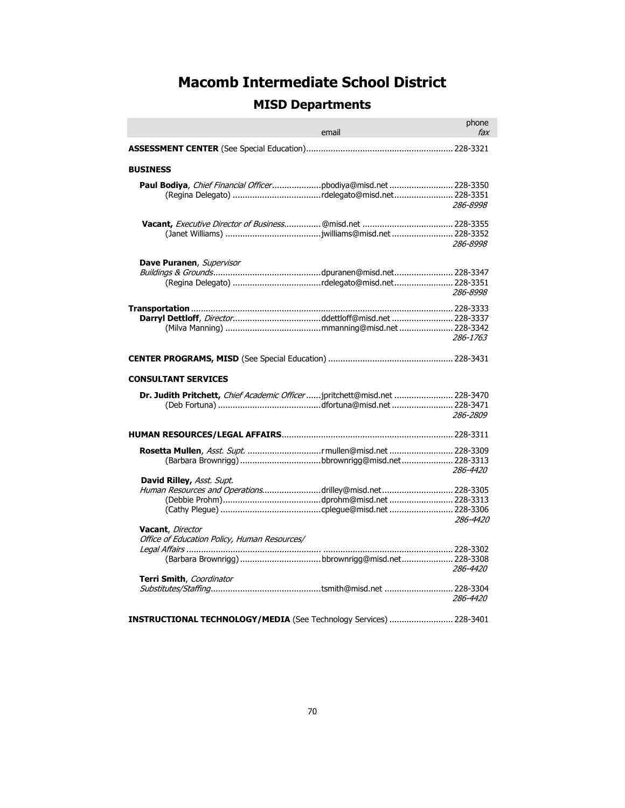## **MISD Departments**

|                                                                                     | email<br><u> 1989 - Jan Barat, manala</u> | phone<br>fax |
|-------------------------------------------------------------------------------------|-------------------------------------------|--------------|
|                                                                                     |                                           |              |
| <b>BUSINESS</b>                                                                     |                                           |              |
| Paul Bodiya, Chief Financial Officerpbodiya@misd.net 228-3350                       |                                           | 286-8998     |
|                                                                                     |                                           | 286-8998     |
| Dave Puranen, Supervisor<br>(Regina Delegato) rdelegato@misd.net 228-3351           |                                           | 286-8998     |
| Darryl Dettloff, Directorddettloff@misd.net  228-3337                               |                                           | 286-1763     |
|                                                                                     |                                           |              |
| <b>CONSULTANT SERVICES</b>                                                          |                                           |              |
| Dr. Judith Pritchett, Chief Academic Officer  jpritchett@misd.net  228-3470         |                                           | 286-2809     |
|                                                                                     |                                           |              |
| Rosetta Mullen, Asst. Supt. rmullen@misd.net  228-3309<br>David Rilley, Asst. Supt. |                                           | 286-4420     |
| Human Resources and Operationsdrilley@misd.net 228-3305                             |                                           | 286-4420     |
| Vacant, Director<br>Office of Education Policy, Human Resources/                    |                                           | 286-4420     |
| Terri Smith, Coordinator                                                            |                                           | 286-4420     |
| INSTRUCTIONAL TECHNOLOGY/MEDIA (See Technology Services)  228-3401                  |                                           |              |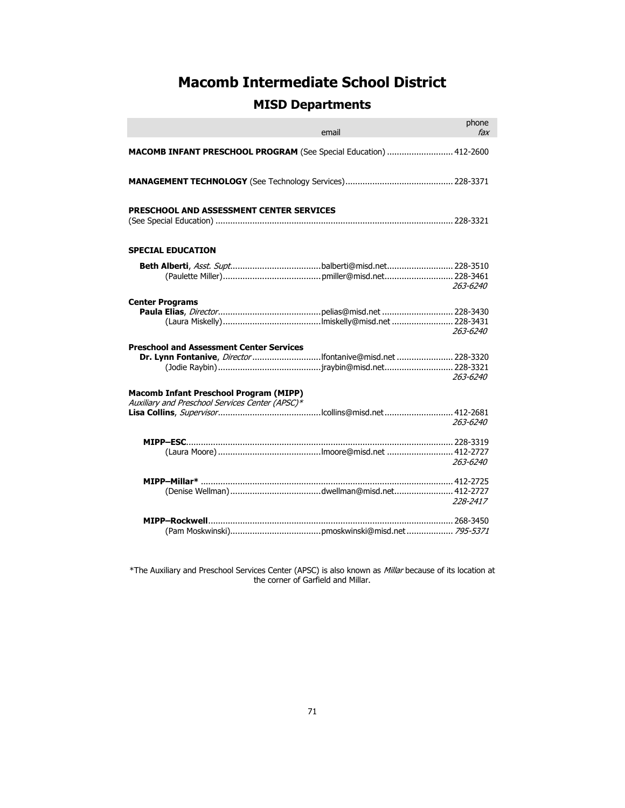#### **MISD Departments**

|                                                                                                  | email | phone<br>fax |
|--------------------------------------------------------------------------------------------------|-------|--------------|
| MACOMB INFANT PRESCHOOL PROGRAM (See Special Education)  412-2600                                |       |              |
|                                                                                                  |       |              |
| PRESCHOOL AND ASSESSMENT CENTER SERVICES                                                         |       |              |
| <b>SPECIAL EDUCATION</b>                                                                         |       |              |
|                                                                                                  |       | 263-6240     |
| <b>Center Programs</b>                                                                           |       | 263-6240     |
| <b>Preschool and Assessment Center Services</b>                                                  |       | 263-6240     |
| <b>Macomb Infant Preschool Program (MIPP)</b><br>Auxiliary and Preschool Services Center (APSC)* |       | 263-6240     |
|                                                                                                  |       | 263-6240     |
|                                                                                                  |       | 228-2417     |
|                                                                                                  |       |              |

\*The Auxiliary and Preschool Services Center (APSC) is also known as Millar because of its location at the corner of Garfield and Millar.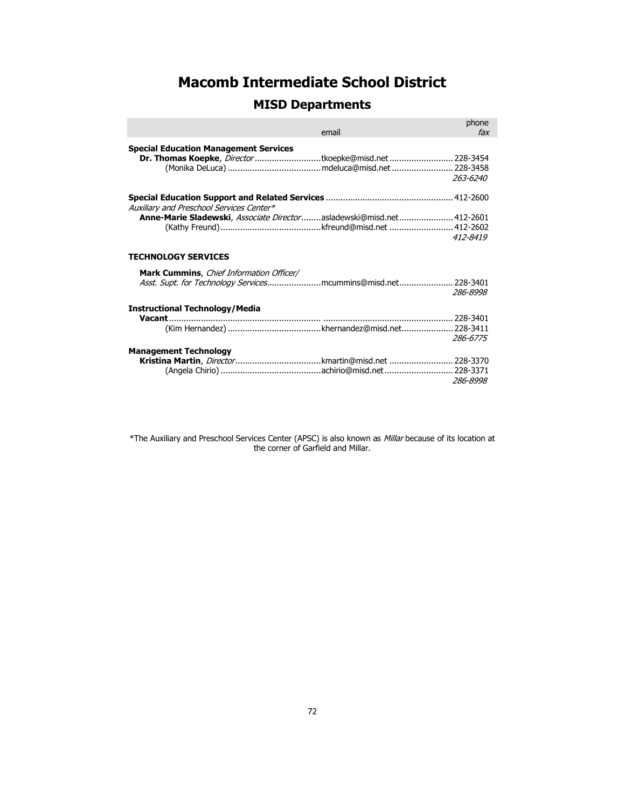#### **MISD Departments**

|                                                                                                                       | email | phone<br>fax |
|-----------------------------------------------------------------------------------------------------------------------|-------|--------------|
| <b>Special Education Management Services</b><br><b>Dr. Thomas Koepke</b> , <i>Director</i> tkoepke@misd.net  228-3454 |       | 263-6240     |
| Auxiliary and Preschool Services Center*                                                                              |       |              |
| Anne-Marie Sladewski, Associate Directorasladewski@misd.net 412-2601                                                  |       | 412-8419     |
| <b>TECHNOLOGY SERVICES</b>                                                                                            |       |              |
| <b>Mark Cummins, Chief Information Officer/</b><br>Asst. Supt. for Technology Servicesmcummins@misd.net 228-3401      |       | 286-8998     |
| <b>Instructional Technology/Media</b>                                                                                 |       |              |
|                                                                                                                       |       | 286-6775     |
| <b>Management Technology</b><br>Kristina Martin, <i>Director</i> kmartin@misd.net  228-3370                           |       | 286-8998     |

\*The Auxiliary and Preschool Services Center (APSC) is also known as Millar because of its location at the corner of Garfield and Millar.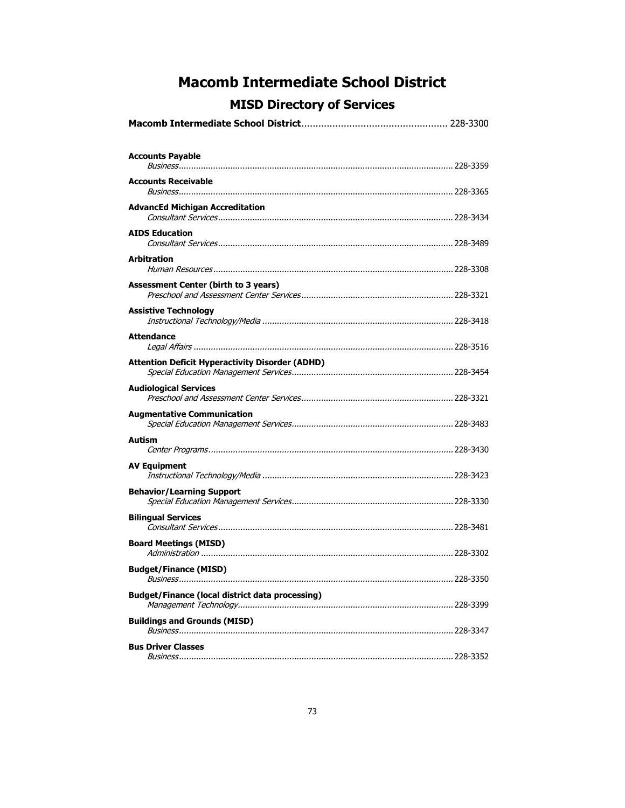## **MISD Directory of Services**

| <b>Accounts Payable</b>                                |
|--------------------------------------------------------|
| <b>Accounts Receivable</b>                             |
| <b>AdvancEd Michigan Accreditation</b>                 |
| <b>AIDS Education</b>                                  |
| <b>Arbitration</b>                                     |
| Assessment Center (birth to 3 years)                   |
| <b>Assistive Technology</b>                            |
| <b>Attendance</b>                                      |
| <b>Attention Deficit Hyperactivity Disorder (ADHD)</b> |
| <b>Audiological Services</b>                           |
| <b>Augmentative Communication</b>                      |
| Autism                                                 |
| <b>AV Equipment</b>                                    |
| <b>Behavior/Learning Support</b>                       |
| <b>Bilingual Services</b>                              |
| <b>Board Meetings (MISD)</b>                           |
| <b>Budget/Finance (MISD)</b>                           |
| <b>Budget/Finance (local district data processing)</b> |
| <b>Buildings and Grounds (MISD)</b>                    |
| <b>Bus Driver Classes</b>                              |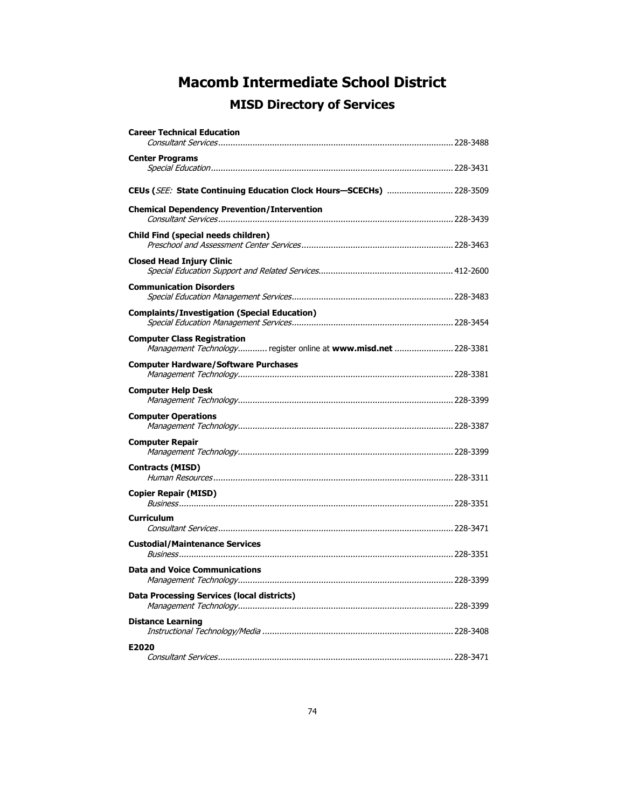| <b>Career Technical Education</b>                                                                     |  |
|-------------------------------------------------------------------------------------------------------|--|
| <b>Center Programs</b>                                                                                |  |
|                                                                                                       |  |
| CEUs (SEE: State Continuing Education Clock Hours-SCECHs)  228-3509                                   |  |
| <b>Chemical Dependency Prevention/Intervention</b>                                                    |  |
| Child Find (special needs children)                                                                   |  |
| <b>Closed Head Injury Clinic</b>                                                                      |  |
| <b>Communication Disorders</b>                                                                        |  |
| <b>Complaints/Investigation (Special Education)</b>                                                   |  |
| <b>Computer Class Registration</b><br>Management Technology register online at www.misd.net  228-3381 |  |
| <b>Computer Hardware/Software Purchases</b>                                                           |  |
| <b>Computer Help Desk</b>                                                                             |  |
| <b>Computer Operations</b>                                                                            |  |
| <b>Computer Repair</b>                                                                                |  |
| <b>Contracts (MISD)</b>                                                                               |  |
| <b>Copier Repair (MISD)</b>                                                                           |  |
| <b>Curriculum</b>                                                                                     |  |
| <b>Custodial/Maintenance Services</b>                                                                 |  |
| <b>Data and Voice Communications</b>                                                                  |  |
| <b>Data Processing Services (local districts)</b>                                                     |  |
| <b>Distance Learning</b>                                                                              |  |
| E2020                                                                                                 |  |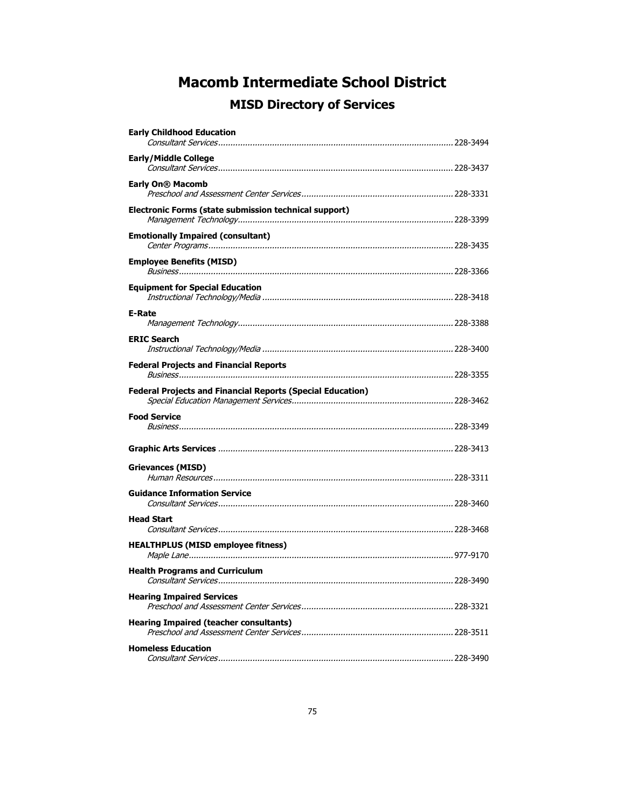| <b>Early Childhood Education</b>                                  |  |
|-------------------------------------------------------------------|--|
| <b>Early/Middle College</b>                                       |  |
|                                                                   |  |
| Early On® Macomb                                                  |  |
| Electronic Forms (state submission technical support)             |  |
| <b>Emotionally Impaired (consultant)</b>                          |  |
| <b>Employee Benefits (MISD)</b>                                   |  |
| <b>Equipment for Special Education</b>                            |  |
| <b>E-Rate</b>                                                     |  |
| <b>ERIC Search</b>                                                |  |
| <b>Federal Projects and Financial Reports</b>                     |  |
| <b>Federal Projects and Financial Reports (Special Education)</b> |  |
| <b>Food Service</b>                                               |  |
|                                                                   |  |
| Grievances (MISD)                                                 |  |
| <b>Guidance Information Service</b>                               |  |
| <b>Head Start</b>                                                 |  |
| <b>HEALTHPLUS (MISD employee fitness)</b>                         |  |
| <b>Health Programs and Curriculum</b>                             |  |
| <b>Hearing Impaired Services</b>                                  |  |
| <b>Hearing Impaired (teacher consultants)</b>                     |  |
| <b>Homeless Education</b>                                         |  |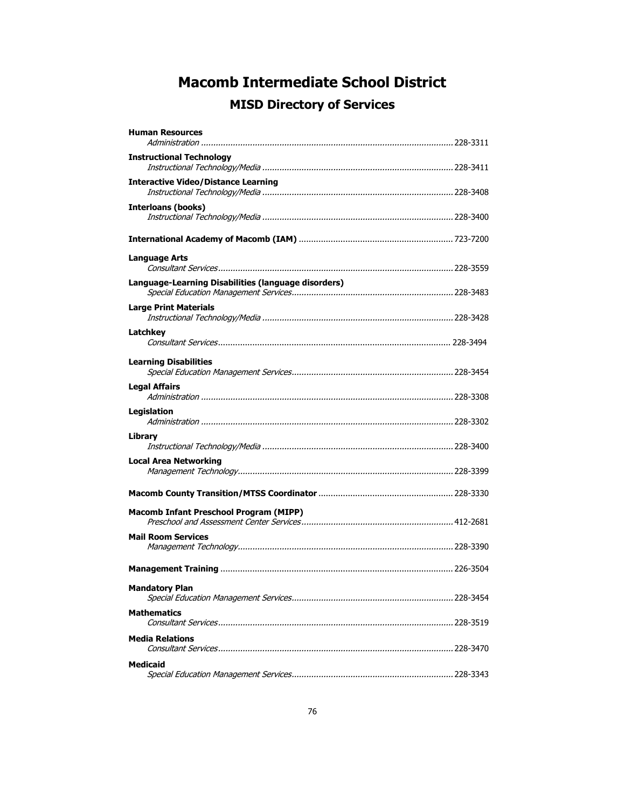| <b>Human Resources</b>                              |  |
|-----------------------------------------------------|--|
| <b>Instructional Technology</b>                     |  |
| <b>Interactive Video/Distance Learning</b>          |  |
| <b>Interloans (books)</b>                           |  |
|                                                     |  |
| <b>Language Arts</b>                                |  |
| Language-Learning Disabilities (language disorders) |  |
| <b>Large Print Materials</b>                        |  |
| Latchkev                                            |  |
| <b>Learning Disabilities</b>                        |  |
| <b>Legal Affairs</b>                                |  |
| Legislation                                         |  |
| Library                                             |  |
| <b>Local Area Networking</b>                        |  |
|                                                     |  |
| <b>Macomb Infant Preschool Program (MIPP)</b>       |  |
| <b>Mail Room Services</b>                           |  |
|                                                     |  |
| <b>Mandatory Plan</b>                               |  |
| <b>Mathematics</b>                                  |  |
| <b>Media Relations</b>                              |  |
| <b>Medicaid</b>                                     |  |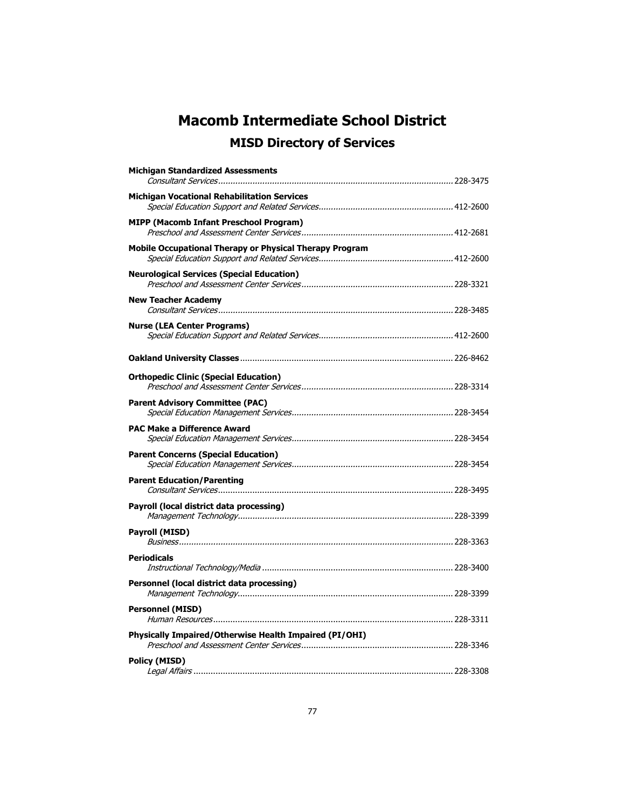| <b>Michigan Standardized Assessments</b>                |  |
|---------------------------------------------------------|--|
| <b>Michigan Vocational Rehabilitation Services</b>      |  |
|                                                         |  |
| <b>MIPP (Macomb Infant Preschool Program)</b>           |  |
| Mobile Occupational Therapy or Physical Therapy Program |  |
| <b>Neurological Services (Special Education)</b>        |  |
| <b>New Teacher Academy</b>                              |  |
| <b>Nurse (LEA Center Programs)</b>                      |  |
|                                                         |  |
| <b>Orthopedic Clinic (Special Education)</b>            |  |
| <b>Parent Advisory Committee (PAC)</b>                  |  |
| <b>PAC Make a Difference Award</b>                      |  |
| <b>Parent Concerns (Special Education)</b>              |  |
| <b>Parent Education/Parenting</b>                       |  |
| Payroll (local district data processing)                |  |
| Payroll (MISD)                                          |  |
| <b>Periodicals</b>                                      |  |
| Personnel (local district data processing)              |  |
| <b>Personnel (MISD)</b>                                 |  |
| Physically Impaired/Otherwise Health Impaired (PI/OHI)  |  |
| <b>Policy (MISD)</b>                                    |  |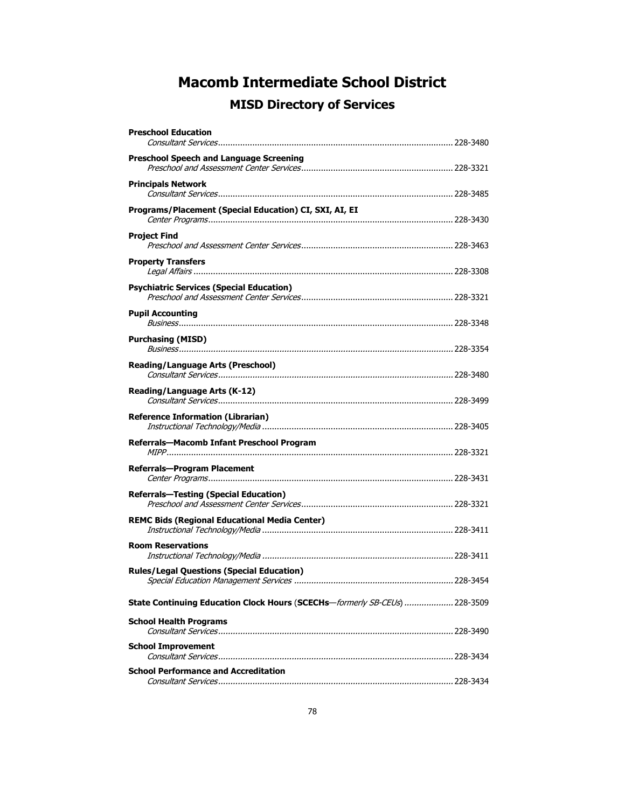| <b>Preschool Education</b>                                                 |  |
|----------------------------------------------------------------------------|--|
| <b>Preschool Speech and Language Screening</b>                             |  |
| <b>Principals Network</b>                                                  |  |
| Programs/Placement (Special Education) CI, SXI, AI, EI                     |  |
| <b>Project Find</b>                                                        |  |
| <b>Property Transfers</b>                                                  |  |
| <b>Psychiatric Services (Special Education)</b>                            |  |
| <b>Pupil Accounting</b>                                                    |  |
| <b>Purchasing (MISD)</b>                                                   |  |
| <b>Reading/Language Arts (Preschool)</b>                                   |  |
| Reading/Language Arts (K-12)                                               |  |
| <b>Reference Information (Librarian)</b>                                   |  |
| Referrals-Macomb Infant Preschool Program                                  |  |
| Referrals-Program Placement                                                |  |
| <b>Referrals-Testing (Special Education)</b>                               |  |
| <b>REMC Bids (Regional Educational Media Center)</b>                       |  |
| <b>Room Reservations</b>                                                   |  |
| <b>Rules/Legal Questions (Special Education)</b>                           |  |
| State Continuing Education Clock Hours (SCECHs-formerly SB-CEUs)  228-3509 |  |
| <b>School Health Programs</b>                                              |  |
| <b>School Improvement</b>                                                  |  |
| <b>School Performance and Accreditation</b>                                |  |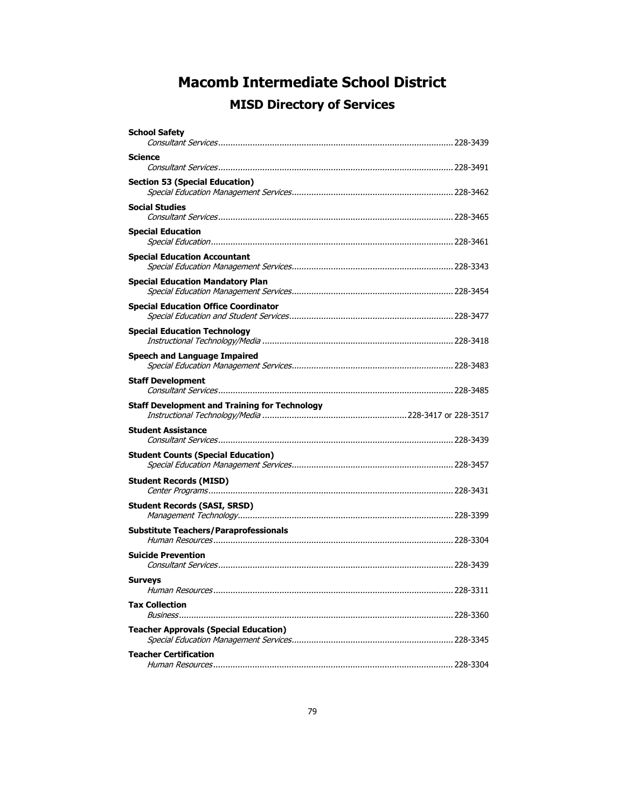| <b>School Safety</b>                                 |  |
|------------------------------------------------------|--|
| Science                                              |  |
| <b>Section 53 (Special Education)</b>                |  |
| <b>Social Studies</b>                                |  |
| <b>Special Education</b>                             |  |
| <b>Special Education Accountant</b>                  |  |
| <b>Special Education Mandatory Plan</b>              |  |
| Special Education Office Coordinator                 |  |
| Special Education Technology                         |  |
| <b>Speech and Language Impaired</b>                  |  |
| <b>Staff Development</b>                             |  |
| <b>Staff Development and Training for Technology</b> |  |
| <b>Student Assistance</b>                            |  |
| <b>Student Counts (Special Education)</b>            |  |
| <b>Student Records (MISD)</b>                        |  |
| <b>Student Records (SASI, SRSD)</b>                  |  |
| <b>Substitute Teachers/Paraprofessionals</b>         |  |
| <b>Suicide Prevention</b>                            |  |
| Surveys                                              |  |
| <b>Tax Collection</b>                                |  |
| <b>Teacher Approvals (Special Education)</b>         |  |
| <b>Teacher Certification</b>                         |  |